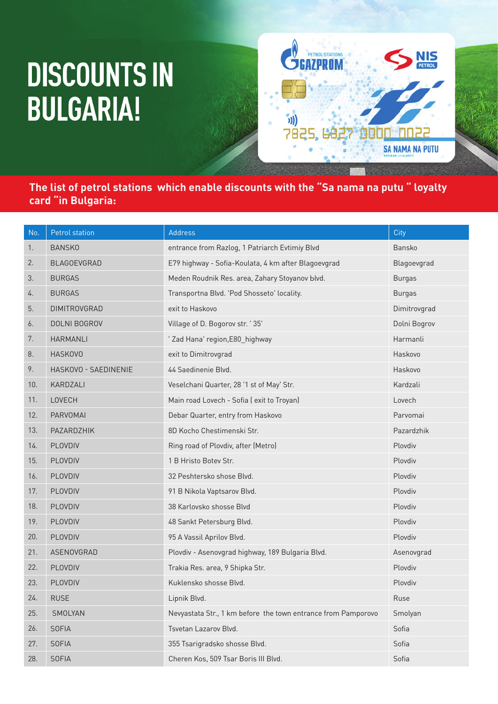## **DISCOUNTS IN BULGARIA!**



**The list of petrol stations which enable discounts with the "Sa nama na putu " loyalty card "in Bulgaria:**

| No. | Petrol station       | Address                                                       | City          |
|-----|----------------------|---------------------------------------------------------------|---------------|
| 1.  | <b>BANSKO</b>        | entrance from Razlog, 1 Patriarch Evtimiy Blvd                | Bansko        |
| 2.  | <b>BLAGOEVGRAD</b>   | E79 highway - Sofia-Koulata, 4 km after Blagoevgrad           | Blagoevgrad   |
| 3.  | <b>BURGAS</b>        | Meden Roudnik Res. area, Zahary Stoyanov blvd.                | <b>Burgas</b> |
| 4.  | <b>BURGAS</b>        | Transportna Blvd. 'Pod Shosseto' locality.                    | <b>Burgas</b> |
| 5.  | <b>DIMITROVGRAD</b>  | exit to Haskovo                                               | Dimitrovgrad  |
| 6.  | DOLNI BOGROV         | Village of D. Bogorov str. '35'                               | Dolni Bogrov  |
| 7.  | <b>HARMANLI</b>      | 'Zad Hana' region, E80_highway                                | Harmanli      |
| 8.  | <b>HASKOVO</b>       | exit to Dimitrovgrad                                          | Haskovo       |
| 9.  | HASKOVO - SAEDINENIE | 44 Saedinenie Blvd.                                           | Haskovo       |
| 10. | KARDZALI             | Veselchani Quarter, 28 '1 st of May' Str.                     | Kardzali      |
| 11. | LOVECH               | Main road Lovech - Sofia (exit to Troyan)                     | Lovech        |
| 12. | PARVOMAI             | Debar Quarter, entry from Haskovo                             | Parvomai      |
| 13. | PAZARDZHIK           | 8D Kocho Chestimenski Str.                                    | Pazardzhik    |
| 14. | PLOVDIV              | Ring road of Plovdiv, after (Metro)                           | Plovdiv       |
| 15. | PLOVDIV              | 1 B Hristo Botev Str.                                         | Plovdiv       |
| 16. | PLOVDIV              | 32 Peshtersko shose Blvd.                                     | Plovdiv       |
| 17. | PLOVDIV              | 91 B Nikola Vaptsarov Blvd.                                   | Plovdiv       |
| 18. | PLOVDIV              | 38 Karlovsko shosse Blvd                                      | Plovdiv       |
| 19. | PLOVDIV              | 48 Sankt Petersburg Blvd.                                     | Plovdiv       |
| 20. | PLOVDIV              | 95 A Vassil Aprilov Blvd.                                     | Plovdiv       |
| 21. | ASENOVGRAD           | Plovdiv - Asenovgrad highway, 189 Bulgaria Blvd.              | Asenovgrad    |
| 22. | PLOVDIV              | Trakia Res. area, 9 Shipka Str.                               | Plovdiv       |
| 23. | PLOVDIV              | Kuklensko shosse Blvd.                                        | Plovdiv       |
| 24. | <b>RUSE</b>          | Lipnik Blvd.                                                  | Ruse          |
| 25. | SMOLYAN              | Nevyastata Str., 1 km before the town entrance from Pamporovo | Smolyan       |
| 26. | <b>SOFIA</b>         | Tsvetan Lazarov Blvd.                                         | Sofia         |
| 27. | <b>SOFIA</b>         | 355 Tsarigradsko shosse Blvd.                                 | Sofia         |
| 28. | <b>SOFIA</b>         | Cheren Kos, 509 Tsar Boris III Blvd.                          | Sofia         |